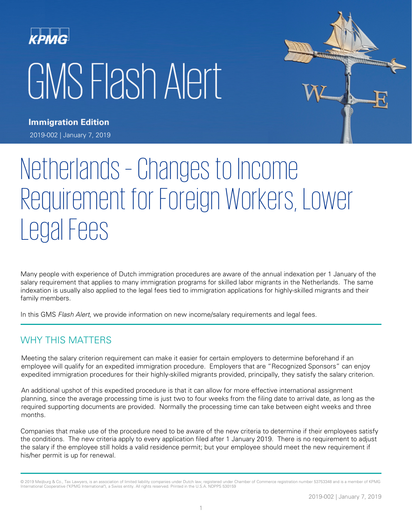# KPMG GMS Flash Alert



**Immigration Edition** 2019-002 | January 7, 2019

# Netherlands – Changes to Income Requirement for Foreign Workers, Lower Legal Fees

Many people with experience of Dutch immigration procedures are aware of the annual indexation per 1 January of the salary requirement that applies to many immigration programs for skilled labor migrants in the Netherlands. The same indexation is usually also applied to the legal fees tied to immigration applications for highly-skilled migrants and their family members.

In this GMS Flash Alert, we provide information on new income/salary requirements and legal fees.

### WHY THIS MATTERS

Meeting the salary criterion requirement can make it easier for certain employers to determine beforehand if an employee will qualify for an expedited immigration procedure. Employers that are "Recognized Sponsors" can enjoy expedited immigration procedures for their highly-skilled migrants provided, principally, they satisfy the salary criterion.

An additional upshot of this expedited procedure is that it can allow for more effective international assignment planning, since the average processing time is just two to four weeks from the filing date to arrival date, as long as the required supporting documents are provided. Normally the processing time can take between eight weeks and three months.

Companies that make use of the procedure need to be aware of the new criteria to determine if their employees satisfy the conditions. The new criteria apply to every application filed after 1 January 2019. There is no requirement to adjust the salary if the employee still holds a valid residence permit; but your employee should meet the new requirement if his/her permit is up for renewal.

<sup>© 2019</sup> Meijburg & Co., Tax Lawyers, is an association of limited liability companies under Dutch law, registered under Chamber of Commerce registration number 53753348 and is a member of KPMG International Cooperative ("KPMG International"), a Swiss entity. All rights reserved. Printed in the U.S.A. NDPPS 530159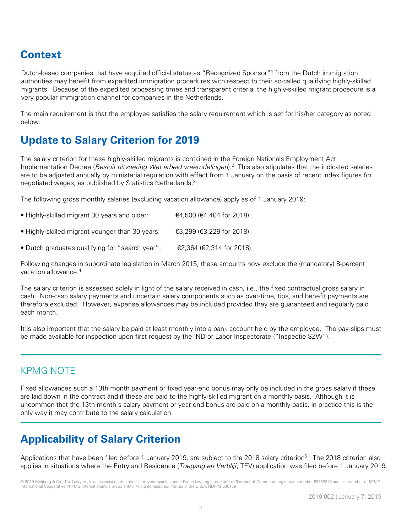# **Context**

Dutch-based companies that have acquired official status as "Recognized Sponsor"1 from the Dutch immigration authorities may benefit from expedited immigration procedures with respect to their so-called qualifying highly-skilled migrants. Because of the expedited processing times and transparent criteria, the highly-skilled migrant procedure is a very popular immigration channel for companies in the Netherlands.

The main requirement is that the employee satisfies the salary requirement which is set for his/her category as noted below.

# **Update to Salary Criterion for 2019**

The salary criterion for these highly-skilled migrants is contained in the Foreign Nationals Employment Act Implementation Decree (Besluit uitvoering Wet arbeid vreemdelingen).<sup>2</sup> This also stipulates that the indicated salaries are to be adjusted annually by ministerial regulation with effect from 1 January on the basis of recent index figures for negotiated wages, as published by Statistics Netherlands.3

The following gross monthly salaries (excluding vacation allowance) apply as of 1 January 2019:

- Highly-skilled migrant 30 years and older: €4,500 (€4,404 for 2018);
- Highly-skilled migrant younger than 30 years:  $\epsilon$ 3,299 ( $\epsilon$ 3,229 for 2018);
- Dutch graduates qualifying for "search year": €2,364 (€2,314 for 2018).

Following changes in subordinate legislation in March 2015, these amounts now exclude the (mandatory) 8-percent vacation allowance.<sup>4</sup>

The salary criterion is assessed solely in light of the salary received in cash, i.e., the fixed contractual gross salary in cash. Non-cash salary payments and uncertain salary components such as over-time, tips, and benefit payments are therefore excluded. However, expense allowances may be included provided they are guaranteed and regularly paid each month.

It is also important that the salary be paid at least monthly into a bank account held by the employee. The pay-slips must be made available for inspection upon first request by the IND or Labor Inspectorate ("Inspectie SZW").

#### KPMG NOTE

Fixed allowances such a 13th month payment or fixed year-end bonus may only be included in the gross salary if these are laid down in the contract and if these are paid to the highly-skilled migrant on a monthly basis. Although it is uncommon that the 13th month's salary payment or year-end bonus are paid on a monthly basis, in practice this is the only way it may contribute to the salary calculation.

# **Applicability of Salary Criterion**

Applications that have been filed before 1 January 2019, are subject to the 2018 salary criterion<sup>5</sup>. The 2018 criterion also applies in situations where the Entry and Residence (*Toegang en Verblijf*; TEV) application was filed before 1 January 2019,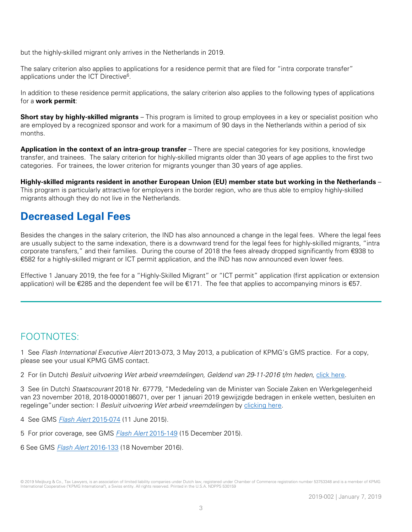but the highly-skilled migrant only arrives in the Netherlands in 2019.

The salary criterion also applies to applications for a residence permit that are filed for "intra corporate transfer" applications under the ICT Directive<sup>6</sup>.

In addition to these residence permit applications, the salary criterion also applies to the following types of applications for a **work permit**:

**Short stay by highly-skilled migrants** – This program is limited to group employees in a key or specialist position who are employed by a recognized sponsor and work for a maximum of 90 days in the Netherlands within a period of six months.

**Application in the context of an intra-group transfer** – There are special categories for key positions, knowledge transfer, and trainees. The salary criterion for highly-skilled migrants older than 30 years of age applies to the first two categories. For trainees, the lower criterion for migrants younger than 30 years of age applies.

**Highly-skilled migrants resident in another European Union (EU) member state but working in the Netherlands** – This program is particularly attractive for employers in the border region, who are thus able to employ highly-skilled migrants although they do not live in the Netherlands.

### **Decreased Legal Fees**

Besides the changes in the salary criterion, the IND has also announced a change in the legal fees. Where the legal fees are usually subject to the same indexation, there is a downward trend for the legal fees for highly-skilled migrants, "intra corporate transfers," and their families. During the course of 2018 the fees already dropped significantly from €938 to €582 for a highly-skilled migrant or ICT permit application, and the IND has now announced even lower fees.

Effective 1 January 2019, the fee for a "Highly-Skilled Migrant" or "ICT permit" application (first application or extension application) will be €285 and the dependent fee will be €171. The fee that applies to accompanying minors is €57.

#### FOOTNOTES:

1 See Flash International Executive Alert 2013-073, 3 May 2013, a publication of KPMG's GMS practice. For a copy, please see your usual KPMG GMS contact.

2 For (in Dutch) Besluit uitvoering Wet arbeid vreemdelingen, Geldend van 29-11-2016 t/m heden, [click here.](https://wetten.overheid.nl/BWBR0007523/2016-11-29)

3 See (in Dutch) Staatscourant 2018 Nr. 67779, "Mededeling van de Minister van Sociale Zaken en Werkgelegenheid van 23 november 2018, 2018-0000186071, over per 1 januari 2019 gewijzigde bedragen in enkele wetten, besluiten en regelinge" under section: I Besluit uitvoering Wet arbeid vreemdelingen by [clicking here.](https://zoek.officielebekendmakingen.nl/stcrt-2018-67779.html)

4 See GMS [Flash Alert](https://home.kpmg.com/xx/en/home/insights/2015/06/flash-alert-2015-074a.html) 2015-074 (11 June 2015).

5 For prior coverage, see GMS **[Flash Alert](https://home.kpmg.com/xx/en/home/insights/2015/12/flash-alert-2015-149.html) 2015-149** (15 December 2015).

6 See GMS [Flash Alert](https://home.kpmg.com/xx/en/home/insights/2016/11/flash-alert-2016-133.html) 2016-133 (18 November 2016).